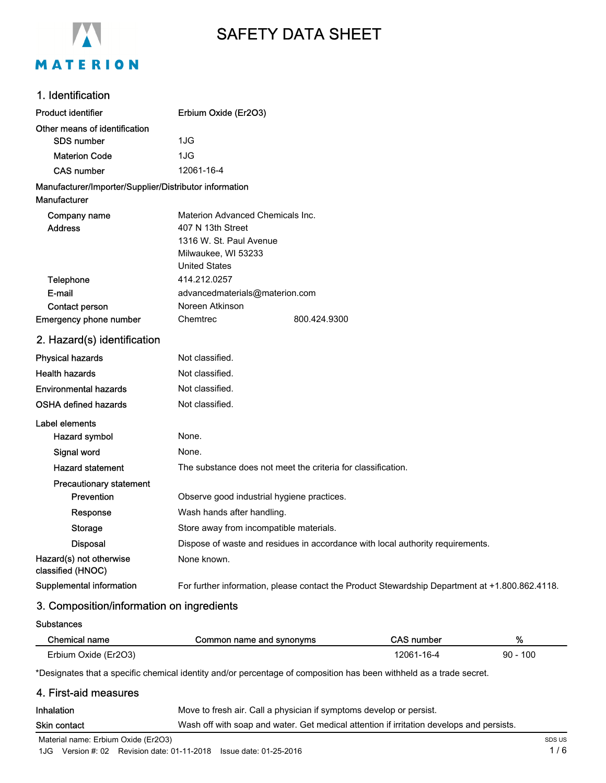

# SAFETY DATA SHEET

# 1. Identification

| <b>Product identifier</b>                              | Erbium Oxide (Er2O3)                                                           |                                                                                                |
|--------------------------------------------------------|--------------------------------------------------------------------------------|------------------------------------------------------------------------------------------------|
| Other means of identification                          |                                                                                |                                                                                                |
| <b>SDS number</b>                                      | 1JG                                                                            |                                                                                                |
| <b>Materion Code</b>                                   | 1JG                                                                            |                                                                                                |
| <b>CAS number</b>                                      | 12061-16-4                                                                     |                                                                                                |
| Manufacturer/Importer/Supplier/Distributor information |                                                                                |                                                                                                |
| Manufacturer                                           |                                                                                |                                                                                                |
| Company name                                           | Materion Advanced Chemicals Inc.                                               |                                                                                                |
| <b>Address</b>                                         | 407 N 13th Street                                                              |                                                                                                |
|                                                        | 1316 W. St. Paul Avenue                                                        |                                                                                                |
|                                                        | Milwaukee, WI 53233                                                            |                                                                                                |
|                                                        | <b>United States</b>                                                           |                                                                                                |
| Telephone<br>E-mail                                    | 414.212.0257                                                                   |                                                                                                |
| <b>Contact person</b>                                  | advancedmaterials@materion.com<br>Noreen Atkinson                              |                                                                                                |
| Emergency phone number                                 | Chemtrec                                                                       | 800.424.9300                                                                                   |
| 2. Hazard(s) identification                            |                                                                                |                                                                                                |
| <b>Physical hazards</b>                                | Not classified.                                                                |                                                                                                |
| <b>Health hazards</b>                                  | Not classified.                                                                |                                                                                                |
| <b>Environmental hazards</b>                           | Not classified.                                                                |                                                                                                |
| <b>OSHA defined hazards</b>                            | Not classified.                                                                |                                                                                                |
| Label elements                                         |                                                                                |                                                                                                |
| Hazard symbol                                          | None.                                                                          |                                                                                                |
| Signal word                                            | None.                                                                          |                                                                                                |
| <b>Hazard statement</b>                                | The substance does not meet the criteria for classification.                   |                                                                                                |
| <b>Precautionary statement</b>                         |                                                                                |                                                                                                |
| Prevention                                             | Observe good industrial hygiene practices.                                     |                                                                                                |
| Response                                               | Wash hands after handling.                                                     |                                                                                                |
| <b>Storage</b>                                         | Store away from incompatible materials.                                        |                                                                                                |
| <b>Disposal</b>                                        | Dispose of waste and residues in accordance with local authority requirements. |                                                                                                |
| Hazard(s) not otherwise<br>classified (HNOC)           | None known.                                                                    |                                                                                                |
| Supplemental information                               |                                                                                | For further information, please contact the Product Stewardship Department at +1.800.862.4118. |

# 3. Composition/information on ingredients

**Substances** 

 $\overline{a}$ 

| Chemical name        | Common name and synonyms | CAS number | %          |
|----------------------|--------------------------|------------|------------|
| Erbium Oxide (Er2O3) |                          | 12061-16-4 | $90 - 100$ |

\*Designates that a specific chemical identity and/or percentage of composition has been withheld as a trade secret.

# 4. First-aid measures

| <b>Inhalation</b> | Move to fresh air. Call a physician if symptoms develop or persist.                      |
|-------------------|------------------------------------------------------------------------------------------|
| Skin contact      | Wash off with soap and water. Get medical attention if irritation develops and persists. |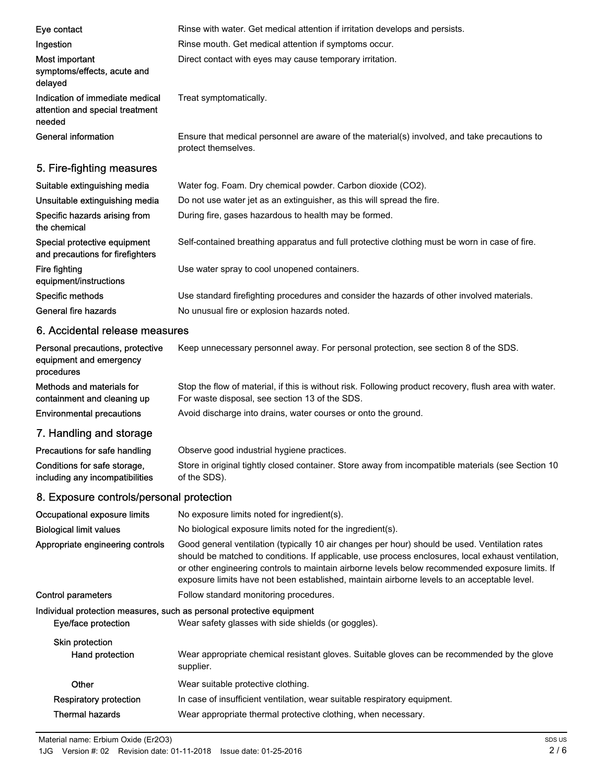| Eye contact                                                                  | Rinse with water. Get medical attention if irritation develops and persists.                                                                                                                                                                                                                            |
|------------------------------------------------------------------------------|---------------------------------------------------------------------------------------------------------------------------------------------------------------------------------------------------------------------------------------------------------------------------------------------------------|
| Ingestion                                                                    | Rinse mouth. Get medical attention if symptoms occur.                                                                                                                                                                                                                                                   |
| Most important<br>symptoms/effects, acute and<br>delayed                     | Direct contact with eyes may cause temporary irritation.                                                                                                                                                                                                                                                |
| Indication of immediate medical<br>attention and special treatment<br>needed | Treat symptomatically.                                                                                                                                                                                                                                                                                  |
| <b>General information</b>                                                   | Ensure that medical personnel are aware of the material(s) involved, and take precautions to<br>protect themselves.                                                                                                                                                                                     |
| 5. Fire-fighting measures                                                    |                                                                                                                                                                                                                                                                                                         |
| Suitable extinguishing media                                                 | Water fog. Foam. Dry chemical powder. Carbon dioxide (CO2).                                                                                                                                                                                                                                             |
| Unsuitable extinguishing media                                               | Do not use water jet as an extinguisher, as this will spread the fire.                                                                                                                                                                                                                                  |
| Specific hazards arising from<br>the chemical                                | During fire, gases hazardous to health may be formed.                                                                                                                                                                                                                                                   |
| Special protective equipment<br>and precautions for firefighters             | Self-contained breathing apparatus and full protective clothing must be worn in case of fire.                                                                                                                                                                                                           |
| <b>Fire fighting</b><br>equipment/instructions                               | Use water spray to cool unopened containers.                                                                                                                                                                                                                                                            |
| Specific methods                                                             | Use standard firefighting procedures and consider the hazards of other involved materials.                                                                                                                                                                                                              |
| General fire hazards                                                         | No unusual fire or explosion hazards noted.                                                                                                                                                                                                                                                             |
| 6. Accidental release measures                                               |                                                                                                                                                                                                                                                                                                         |
| Personal precautions, protective<br>equipment and emergency<br>procedures    | Keep unnecessary personnel away. For personal protection, see section 8 of the SDS.                                                                                                                                                                                                                     |
| Methods and materials for<br>containment and cleaning up                     | Stop the flow of material, if this is without risk. Following product recovery, flush area with water.<br>For waste disposal, see section 13 of the SDS.                                                                                                                                                |
| <b>Environmental precautions</b>                                             | Avoid discharge into drains, water courses or onto the ground.                                                                                                                                                                                                                                          |
| 7. Handling and storage                                                      |                                                                                                                                                                                                                                                                                                         |
| Precautions for safe handling                                                | Observe good industrial hygiene practices                                                                                                                                                                                                                                                               |
| Conditions for safe storage,<br>including any incompatibilities              | Store in original tightly closed container. Store away from incompatible materials (see Section 10<br>of the SDS).                                                                                                                                                                                      |
| 8. Exposure controls/personal protection                                     |                                                                                                                                                                                                                                                                                                         |
| Occupational exposure limits                                                 | No exposure limits noted for ingredient(s).                                                                                                                                                                                                                                                             |
| <b>Biological limit values</b>                                               | No biological exposure limits noted for the ingredient(s).                                                                                                                                                                                                                                              |
| Appropriate engineering controls                                             | Good general ventilation (typically 10 air changes per hour) should be used. Ventilation rates<br>should be matched to conditions. If applicable, use process enclosures, local exhaust ventilation,<br>or other engineering controls to maintain airborne levels below recommended exposure limits. If |

exposure limits have not been established, maintain airborne levels to an acceptable level. Control parameters Follow standard monitoring procedures. Individual protection measures, such as personal protective equipment Eye/face protection Wear safety glasses with side shields (or goggles). Skin protection Wear appropriate chemical resistant gloves. Suitable gloves can be recommended by the glove supplier. Hand protection Other Wear suitable protective clothing. Respiratory protection In case of insufficient ventilation, wear suitable respiratory equipment. Thermal hazards Wear appropriate thermal protective clothing, when necessary.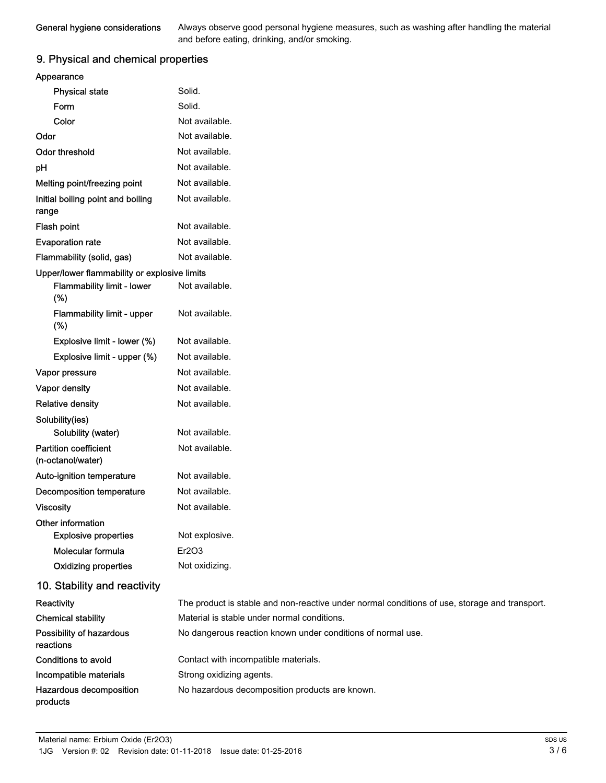Always observe good personal hygiene measures, such as washing after handling the material and before eating, drinking, and/or smoking.

# 9. Physical and chemical properties

| Appearance                                        |                                                                                               |
|---------------------------------------------------|-----------------------------------------------------------------------------------------------|
| <b>Physical state</b>                             | Solid.                                                                                        |
| Form                                              | Solid.                                                                                        |
| Color                                             | Not available.                                                                                |
| Odor                                              | Not available.                                                                                |
| <b>Odor threshold</b>                             | Not available.                                                                                |
| pH                                                | Not available.                                                                                |
| Melting point/freezing point                      | Not available.                                                                                |
| Initial boiling point and boiling<br>range        | Not available.                                                                                |
| Flash point                                       | Not available.                                                                                |
| <b>Evaporation rate</b>                           | Not available.                                                                                |
| Flammability (solid, gas)                         | Not available.                                                                                |
| Upper/lower flammability or explosive limits      |                                                                                               |
| Flammability limit - lower<br>(%)                 | Not available.                                                                                |
| Flammability limit - upper<br>(%)                 | Not available.                                                                                |
| Explosive limit - lower (%)                       | Not available.                                                                                |
| Explosive limit - upper (%)                       | Not available.                                                                                |
| Vapor pressure                                    | Not available.                                                                                |
| Vapor density                                     | Not available.                                                                                |
| <b>Relative density</b>                           | Not available.                                                                                |
| Solubility(ies)                                   |                                                                                               |
| Solubility (water)                                | Not available.                                                                                |
| <b>Partition coefficient</b><br>(n-octanol/water) | Not available.                                                                                |
| Auto-ignition temperature                         | Not available.                                                                                |
| <b>Decomposition temperature</b>                  | Not available.                                                                                |
| <b>Viscosity</b>                                  | Not available.                                                                                |
| Other information                                 |                                                                                               |
| <b>Explosive properties</b>                       | Not explosive.                                                                                |
| Molecular formula                                 | Er2O3                                                                                         |
| <b>Oxidizing properties</b>                       | Not oxidizing.                                                                                |
| 10. Stability and reactivity                      |                                                                                               |
| Reactivity                                        | The product is stable and non-reactive under normal conditions of use, storage and transport. |
| <b>Chemical stability</b>                         | Material is stable under normal conditions.                                                   |
| Possibility of hazardous<br>reactions             | No dangerous reaction known under conditions of normal use.                                   |
| Conditions to avoid                               | Contact with incompatible materials.                                                          |
| Incompatible materials                            | Strong oxidizing agents.                                                                      |
| Hazardous decomposition<br>products               | No hazardous decomposition products are known.                                                |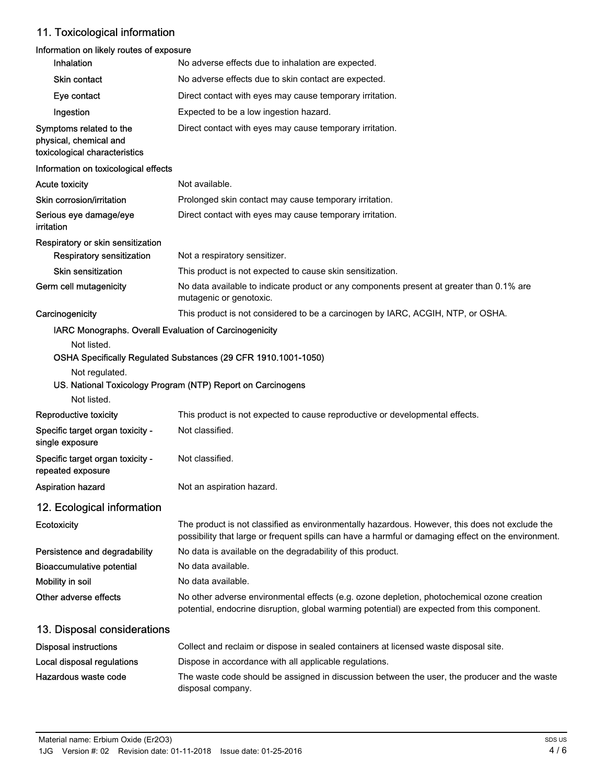# 11. Toxicological information

# Information on likely routes of exposure

| Inhalation                                                                         | No adverse effects due to inhalation are expected.                                                                                                                                                    |
|------------------------------------------------------------------------------------|-------------------------------------------------------------------------------------------------------------------------------------------------------------------------------------------------------|
| <b>Skin contact</b>                                                                | No adverse effects due to skin contact are expected.                                                                                                                                                  |
| Eye contact                                                                        | Direct contact with eyes may cause temporary irritation.                                                                                                                                              |
| Ingestion                                                                          | Expected to be a low ingestion hazard.                                                                                                                                                                |
| Symptoms related to the<br>physical, chemical and<br>toxicological characteristics | Direct contact with eyes may cause temporary irritation.                                                                                                                                              |
| Information on toxicological effects                                               |                                                                                                                                                                                                       |
| <b>Acute toxicity</b>                                                              | Not available.                                                                                                                                                                                        |
| Skin corrosion/irritation                                                          | Prolonged skin contact may cause temporary irritation.                                                                                                                                                |
| Serious eye damage/eye<br>irritation                                               | Direct contact with eyes may cause temporary irritation.                                                                                                                                              |
| Respiratory or skin sensitization                                                  |                                                                                                                                                                                                       |
| <b>Respiratory sensitization</b>                                                   | Not a respiratory sensitizer.                                                                                                                                                                         |
| <b>Skin sensitization</b>                                                          | This product is not expected to cause skin sensitization.                                                                                                                                             |
| Germ cell mutagenicity                                                             | No data available to indicate product or any components present at greater than 0.1% are<br>mutagenic or genotoxic.                                                                                   |
| Carcinogenicity                                                                    | This product is not considered to be a carcinogen by IARC, ACGIH, NTP, or OSHA.                                                                                                                       |
| IARC Monographs. Overall Evaluation of Carcinogenicity                             |                                                                                                                                                                                                       |
| Not listed.                                                                        | OSHA Specifically Regulated Substances (29 CFR 1910.1001-1050)                                                                                                                                        |
| Not regulated.<br>Not listed.                                                      | US. National Toxicology Program (NTP) Report on Carcinogens                                                                                                                                           |
| Reproductive toxicity                                                              | This product is not expected to cause reproductive or developmental effects.                                                                                                                          |
| Specific target organ toxicity -<br>single exposure                                | Not classified.                                                                                                                                                                                       |
| Specific target organ toxicity -<br>repeated exposure                              | Not classified.                                                                                                                                                                                       |
| Aspiration hazard                                                                  | Not an aspiration hazard.                                                                                                                                                                             |
| 12. Ecological information                                                         |                                                                                                                                                                                                       |
| Ecotoxicity                                                                        | The product is not classified as environmentally hazardous. However, this does not exclude the<br>possibility that large or frequent spills can have a harmful or damaging effect on the environment. |
| Persistence and degradability                                                      | No data is available on the degradability of this product.                                                                                                                                            |
| <b>Bioaccumulative potential</b>                                                   | No data available.                                                                                                                                                                                    |
| Mobility in soil                                                                   | No data available.                                                                                                                                                                                    |
| Other adverse effects                                                              | No other adverse environmental effects (e.g. ozone depletion, photochemical ozone creation<br>potential, endocrine disruption, global warming potential) are expected from this component.            |
| 13. Disposal considerations                                                        |                                                                                                                                                                                                       |
| <b>Disposal instructions</b>                                                       | Collect and reclaim or dispose in sealed containers at licensed waste disposal site.                                                                                                                  |
| Local disposal regulations                                                         | Dispose in accordance with all applicable regulations.                                                                                                                                                |
| Hazardous waste code                                                               | The waste code should be assigned in discussion between the user, the producer and the waste<br>disposal company.                                                                                     |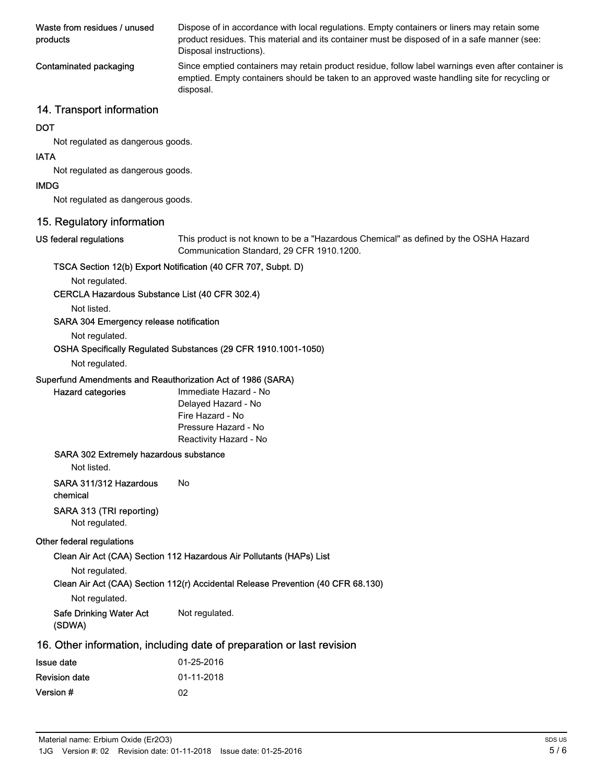| Waste from residues / unused<br>products | Dispose of in accordance with local regulations. Empty containers or liners may retain some<br>product residues. This material and its container must be disposed of in a safe manner (see:<br>Disposal instructions). |
|------------------------------------------|------------------------------------------------------------------------------------------------------------------------------------------------------------------------------------------------------------------------|
| Contaminated packaging                   | Since emptied containers may retain product residue, follow label warnings even after container is<br>emptied. Empty containers should be taken to an approved waste handling site for recycling or<br>disposal.       |

# 14. Transport information

#### **DOT**

Not regulated as dangerous goods.

#### IATA

Not regulated as dangerous goods.

#### IMDG

Not regulated as dangerous goods.

# 15. Regulatory information

#### US federal regulations

This product is not known to be a "Hazardous Chemical" as defined by the OSHA Hazard Communication Standard, 29 CFR 1910.1200.

#### TSCA Section 12(b) Export Notification (40 CFR 707, Subpt. D)

Not regulated.

#### CERCLA Hazardous Substance List (40 CFR 302.4)

Not listed.

#### SARA 304 Emergency release notification

Not regulated.

# OSHA Specifically Regulated Substances (29 CFR 1910.1001-1050)

# Not regulated.

Hazard categories

#### Superfund Amendments and Reauthorization Act of 1986 (SARA)

| Immediate Hazard - No  |
|------------------------|
| Delayed Hazard - No    |
| Fire Hazard - No       |
| Pressure Hazard - No   |
| Reactivity Hazard - No |

#### SARA 302 Extremely hazardous substance

Not listed.

SARA 311/312 Hazardous No

chemical

## SARA 313 (TRI reporting)

Not regulated.

#### Other federal regulations

#### Clean Air Act (CAA) Section 112 Hazardous Air Pollutants (HAPs) List

Not regulated.

# Clean Air Act (CAA) Section 112(r) Accidental Release Prevention (40 CFR 68.130)

Not regulated.

Safe Drinking Water Act Not regulated. (SDWA)

# 16. Other information, including date of preparation or last revision

| Issue date           | 01-25-2016 |
|----------------------|------------|
| <b>Revision date</b> | 01-11-2018 |
| Version #            | 02         |